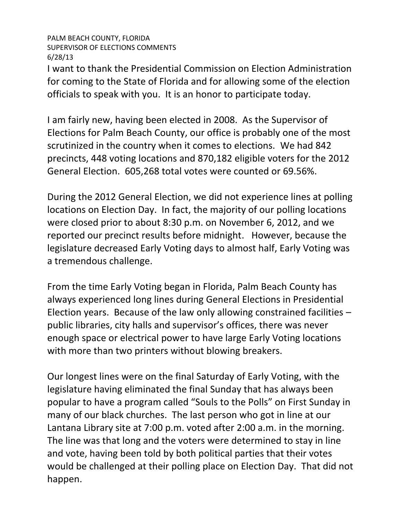## PALM BEACH COUNTY, FLORIDA SUPERVISOR OF ELECTIONS COMMENTS 6/28/13

I want to thank the Presidential Commission on Election Administration for coming to the State of Florida and for allowing some of the election officials to speak with you. It is an honor to participate today.

I am fairly new, having been elected in 2008. As the Supervisor of Elections for Palm Beach County, our office is probably one of the most scrutinized in the country when it comes to elections. We had 842 precincts, 448 voting locations and 870,182 eligible voters for the 2012 General Election. 605,268 total votes were counted or 69.56%.

During the 2012 General Election, we did not experience lines at polling locations on Election Day. In fact, the majority of our polling locations were closed prior to about 8:30 p.m. on November 6, 2012, and we reported our precinct results before midnight. However, because the legislature decreased Early Voting days to almost half, Early Voting was a tremendous challenge.

From the time Early Voting began in Florida, Palm Beach County has always experienced long lines during General Elections in Presidential Election years. Because of the law only allowing constrained facilities – public libraries, city halls and supervisor's offices, there was never enough space or electrical power to have large Early Voting locations with more than two printers without blowing breakers.

Our longest lines were on the final Saturday of Early Voting, with the legislature having eliminated the final Sunday that has always been popular to have a program called "Souls to the Polls" on First Sunday in many of our black churches. The last person who got in line at our Lantana Library site at 7:00 p.m. voted after 2:00 a.m. in the morning. The line was that long and the voters were determined to stay in line and vote, having been told by both political parties that their votes would be challenged at their polling place on Election Day. That did not happen.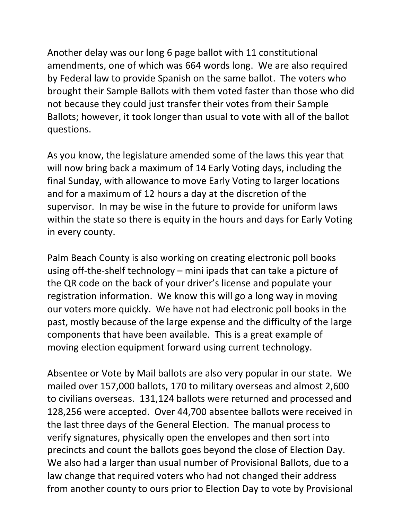Another delay was our long 6 page ballot with 11 constitutional amendments, one of which was 664 words long. We are also required by Federal law to provide Spanish on the same ballot. The voters who brought their Sample Ballots with them voted faster than those who did not because they could just transfer their votes from their Sample Ballots; however, it took longer than usual to vote with all of the ballot questions.

As you know, the legislature amended some of the laws this year that will now bring back a maximum of 14 Early Voting days, including the final Sunday, with allowance to move Early Voting to larger locations and for a maximum of 12 hours a day at the discretion of the supervisor. In may be wise in the future to provide for uniform laws within the state so there is equity in the hours and days for Early Voting in every county.

Palm Beach County is also working on creating electronic poll books using off-the-shelf technology – mini ipads that can take a picture of the QR code on the back of your driver's license and populate your registration information. We know this will go a long way in moving our voters more quickly. We have not had electronic poll books in the past, mostly because of the large expense and the difficulty of the large components that have been available. This is a great example of moving election equipment forward using current technology.

Absentee or Vote by Mail ballots are also very popular in our state. We mailed over 157,000 ballots, 170 to military overseas and almost 2,600 to civilians overseas. 131,124 ballots were returned and processed and 128,256 were accepted. Over 44,700 absentee ballots were received in the last three days of the General Election. The manual process to verify signatures, physically open the envelopes and then sort into precincts and count the ballots goes beyond the close of Election Day. We also had a larger than usual number of Provisional Ballots, due to a law change that required voters who had not changed their address from another county to ours prior to Election Day to vote by Provisional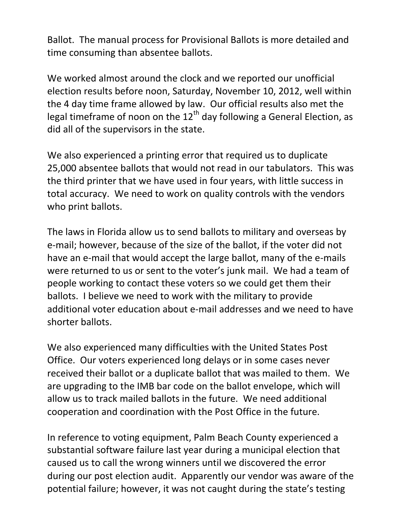Ballot. The manual process for Provisional Ballots is more detailed and time consuming than absentee ballots.

We worked almost around the clock and we reported our unofficial election results before noon, Saturday, November 10, 2012, well within the 4 day time frame allowed by law. Our official results also met the legal timeframe of noon on the  $12<sup>th</sup>$  day following a General Election, as did all of the supervisors in the state.

We also experienced a printing error that required us to duplicate 25,000 absentee ballots that would not read in our tabulators. This was the third printer that we have used in four years, with little success in total accuracy. We need to work on quality controls with the vendors who print ballots.

The laws in Florida allow us to send ballots to military and overseas by e-mail; however, because of the size of the ballot, if the voter did not have an e-mail that would accept the large ballot, many of the e-mails were returned to us or sent to the voter's junk mail. We had a team of people working to contact these voters so we could get them their ballots. I believe we need to work with the military to provide additional voter education about e-mail addresses and we need to have shorter ballots.

We also experienced many difficulties with the United States Post Office. Our voters experienced long delays or in some cases never received their ballot or a duplicate ballot that was mailed to them. We are upgrading to the IMB bar code on the ballot envelope, which will allow us to track mailed ballots in the future. We need additional cooperation and coordination with the Post Office in the future.

In reference to voting equipment, Palm Beach County experienced a substantial software failure last year during a municipal election that caused us to call the wrong winners until we discovered the error during our post election audit. Apparently our vendor was aware of the potential failure; however, it was not caught during the state's testing